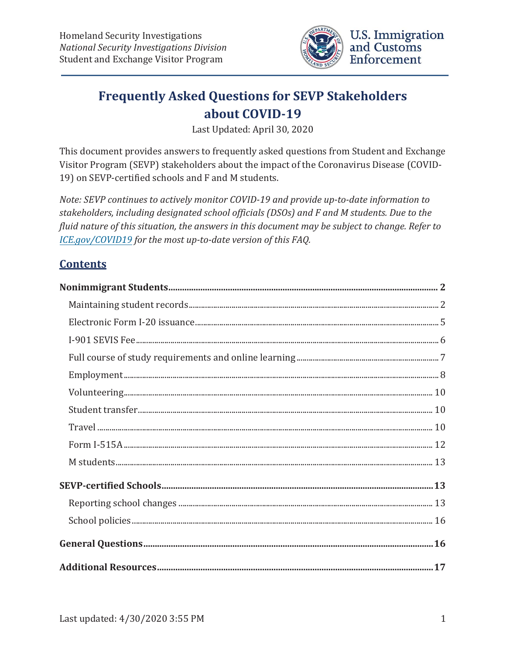

# **Frequently Asked Questions for SEVP Stakeholders about COVID-19**

Last Updated: April 30, 2020

This document provides answers to frequently asked questions from Student and Exchange Visitor Program (SEVP) stakeholders about the impact of the Coronavirus Disease (COVID-19) on SEVP-certified schools and F and M students.

*Note: SEVP continues to actively monitor COVID-19 and provide up-to-date information to stakeholders, including designated school officials (DSOs) and F and M students. Due to the fluid nature of this situation, the answers in this document may be subject to change. Refer to [ICE.gov/COVID19](https://www.ice.gov/coronavirus) for the most up-to-date version of this FAQ.* 

## **Contents**

| ${\bf Volumeering.}\label{ex:1} \vspace{-0.05cm} \begin{minipage}[t]{0.9\textwidth} \centering \begin{tabular}{l} \multicolumn{3}{l}{} & \multicolumn{3}{l}{} & \multicolumn{3}{l}{} \\ \multicolumn{3}{l}{} & \multicolumn{3}{l}{} & \multicolumn{3}{l}{} \\ \multicolumn{3}{l}{} & \multicolumn{3}{l}{} & \multicolumn{3}{l}{} \\ \multicolumn{3}{l}{} & \multicolumn{3}{l}{} \\ \multicolumn{3}{l}{} & \multicolumn{3}{l}{} \\ \multicolumn{3}{l}{} & \multicolumn{3}{l}{} \\ \multicolumn{3$ |  |
|--------------------------------------------------------------------------------------------------------------------------------------------------------------------------------------------------------------------------------------------------------------------------------------------------------------------------------------------------------------------------------------------------------------------------------------------------------------------------------------------------|--|
|                                                                                                                                                                                                                                                                                                                                                                                                                                                                                                  |  |
|                                                                                                                                                                                                                                                                                                                                                                                                                                                                                                  |  |
|                                                                                                                                                                                                                                                                                                                                                                                                                                                                                                  |  |
|                                                                                                                                                                                                                                                                                                                                                                                                                                                                                                  |  |
|                                                                                                                                                                                                                                                                                                                                                                                                                                                                                                  |  |
|                                                                                                                                                                                                                                                                                                                                                                                                                                                                                                  |  |
|                                                                                                                                                                                                                                                                                                                                                                                                                                                                                                  |  |
|                                                                                                                                                                                                                                                                                                                                                                                                                                                                                                  |  |
|                                                                                                                                                                                                                                                                                                                                                                                                                                                                                                  |  |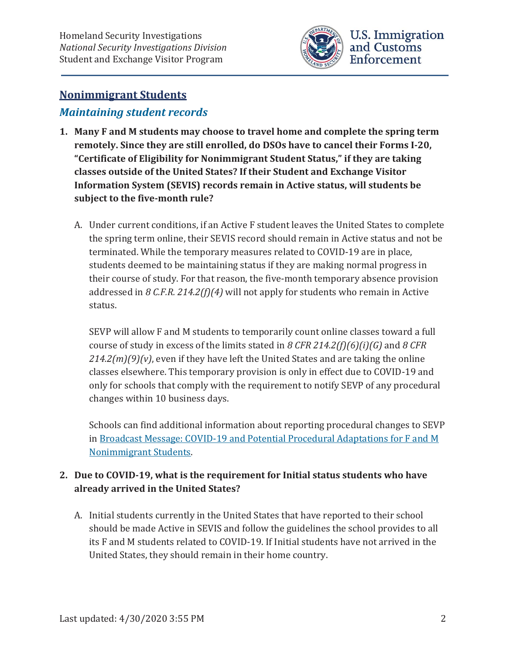

# **Nonimmigrant Students**

# *Maintaining student records*

- **1. Many F and M students may choose to travel home and complete the spring term remotely. Since they are still enrolled, do DSOs have to cancel their Forms I-20, "Certificate of Eligibility for Nonimmigrant Student Status," if they are taking classes outside of the United States? If their Student and Exchange Visitor Information System (SEVIS) records remain in Active status, will students be subject to the five-month rule?** 
	- A. Under current conditions, if an Active F student leaves the United States to complete the spring term online, their SEVIS record should remain in Active status and not be terminated. While the temporary measures related to COVID-19 are in place, students deemed to be maintaining status if they are making normal progress in their course of study. For that reason, the five-month temporary absence provision addressed in *8 C.F.R. 214.2(f)(4)* will not apply for students who remain in Active status.

SEVP will allow F and M students to temporarily count online classes toward a full course of study in excess of the limits stated in *8 CFR 214.2(f)(6)(i)(G)* and *8 CFR 214.2(m)(9)(v)*, even if they have left the United States and are taking the online classes elsewhere. This temporary provision is only in effect due to COVID-19 and only for schools that comply with the requirement to notify SEVP of any procedural changes within 10 business days.

Schools can find additional information about reporting procedural changes to SEVP in Broadcast Message: COVID-19 and Potential Procedural Adaptations for F and M Nonimmigrant Students.

### **2. Due to COVID-19, what is the requirement for Initial status students who have already arrived in the United States?**

A. Initial students currently in the United States that have reported to their school should be made Active in SEVIS and follow the guidelines the school provides to all its F and M students related to COVID-19. If Initial students have not arrived in the United States, they should remain in their home country.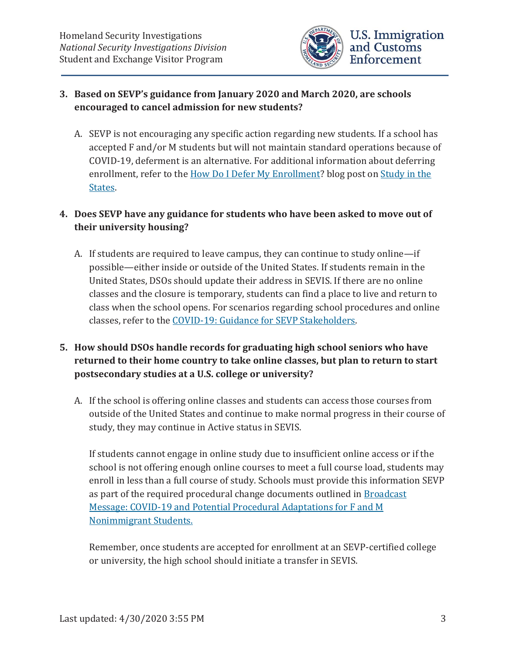

#### **3. Based on SEVP's guidance from January 2020 and March 2020, are schools encouraged to cancel admission for new students?**

A. SEVP is not encouraging any specific action regarding new students. If a school has accepted F and/or M students but will not maintain standard operations because of COVID-19, deferment is an alternative. For additional information about deferring enrollment, refer to the How Do I Defer My Enrollment? blog post on Study in the States.

### **4. Does SEVP have any guidance for students who have been asked to move out of their university housing?**

A. If students are required to leave campus, they can continue to study online—if possible—either inside or outside of the United States. If students remain in the United States, DSOs should update their address in SEVIS. If there are no online classes and the closure is temporary, students can find a place to live and return to class when the school opens. For scenarios regarding school procedures and online classes, refer to the COVID-19: Guidance for SEVP Stakeholders.

### **5. How should DSOs handle records for graduating high school seniors who have returned to their home country to take online classes, but plan to return to start postsecondary studies at a U.S. college or university?**

A. If the school is offering online classes and students can access those courses from outside of the United States and continue to make normal progress in their course of study, they may continue in Active status in SEVIS.

If students cannot engage in online study due to insufficient online access or if the school is not offering enough online courses to meet a full course load, students may enroll in less than a full course of study. Schools must provide this information SEVP as part of the required procedural change documents outlined in Broadcast Message: COVID-19 and Potential Procedural Adaptations for F and M Nonimmigrant Students.

Remember, once students are accepted for enrollment at an SEVP-certified college or university, the high school should initiate a transfer in SEVIS.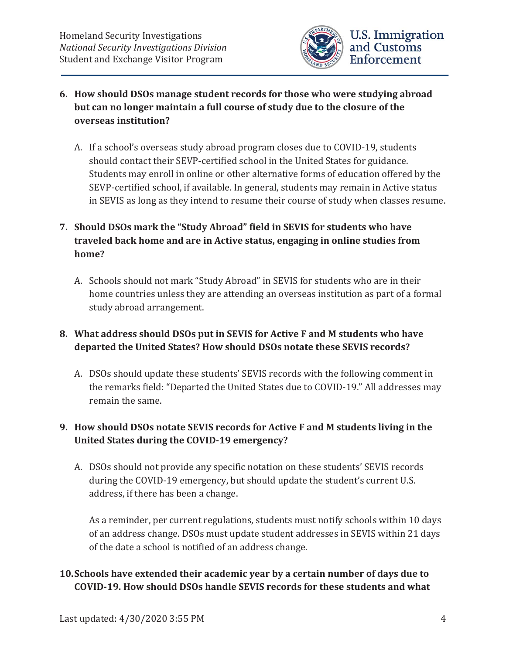

- **6. How should DSOs manage student records for those who were studying abroad but can no longer maintain a full course of study due to the closure of the overseas institution?** 
	- A. If a school's overseas study abroad program closes due to COVID-19, students should contact their SEVP-certified school in the United States for guidance. Students may enroll in online or other alternative forms of education offered by the SEVP-certified school, if available. In general, students may remain in Active status in SEVIS as long as they intend to resume their course of study when classes resume.

### **7. Should DSOs mark the "Study Abroad" field in SEVIS for students who have traveled back home and are in Active status, engaging in online studies from home?**

A. Schools should not mark "Study Abroad" in SEVIS for students who are in their home countries unless they are attending an overseas institution as part of a formal study abroad arrangement.

### **8. What address should DSOs put in SEVIS for Active F and M students who have departed the United States? How should DSOs notate these SEVIS records?**

A. DSOs should update these students' SEVIS records with the following comment in the remarks field: "Departed the United States due to COVID-19." All addresses may remain the same.

### **9. How should DSOs notate SEVIS records for Active F and M students living in the United States during the COVID-19 emergency?**

A. DSOs should not provide any specific notation on these students' SEVIS records during the COVID-19 emergency, but should update the student's current U.S. address, if there has been a change.

As a reminder, per current regulations, students must notify schools within 10 days of an address change. DSOs must update student addresses in SEVIS within 21 days of the date a school is notified of an address change.

### **10.Schools have extended their academic year by a certain number of days due to COVID-19. How should DSOs handle SEVIS records for these students and what**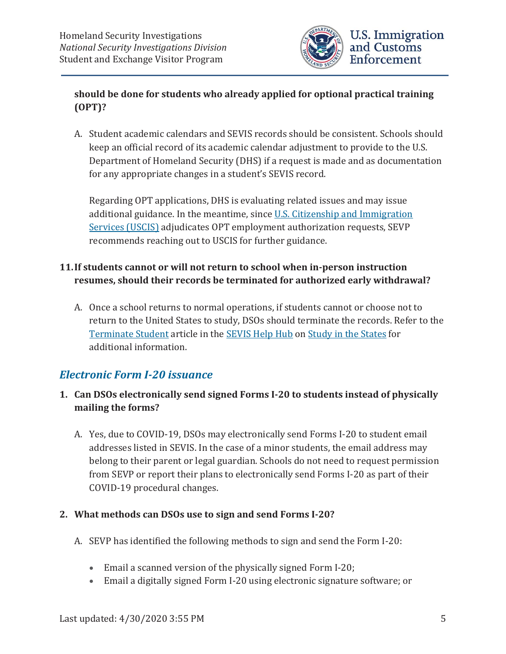

### **should be done for students who already applied for optional practical training (OPT)?**

A. Student academic calendars and SEVIS records should be consistent. Schools should keep an official record of its academic calendar adjustment to provide to the U.S. Department of Homeland Security (DHS) if a request is made and as documentation for any appropriate changes in a student's SEVIS record.

Regarding OPT applications, DHS is evaluating related issues and may issue additional guidance. In the meantime, since U.S. Citizenship and Immigration Services (USCIS) adjudicates OPT employment authorization requests, SEVP recommends reaching out to USCIS for further guidance.

### **11.If students cannot or will not return to school when in-person instruction resumes, should their records be terminated for authorized early withdrawal?**

A. Once a school returns to normal operations, if students cannot or choose not to return to the United States to study, DSOs should terminate the records. Refer to the Terminate Student article in the SEVIS Help Hub on Study in the States for additional information.

### *Electronic Form I-20 issuance*

- **1. Can DSOs electronically send signed Forms I-20 to students instead of physically mailing the forms?** 
	- A. Yes, due to COVID-19, DSOs may electronically send Forms I-20 to student email addresses listed in SEVIS. In the case of a minor students, the email address may belong to their parent or legal guardian. Schools do not need to request permission from SEVP or report their plans to electronically send Forms I-20 as part of their COVID-19 procedural changes.

### **2. What methods can DSOs use to sign and send Forms I-20?**

- A. SEVP has identified the following methods to sign and send the Form I-20:
	- **Email a scanned version of the physically signed Form I-20;**
	- x Email a digitally signed Form I-20 using electronic signature software; or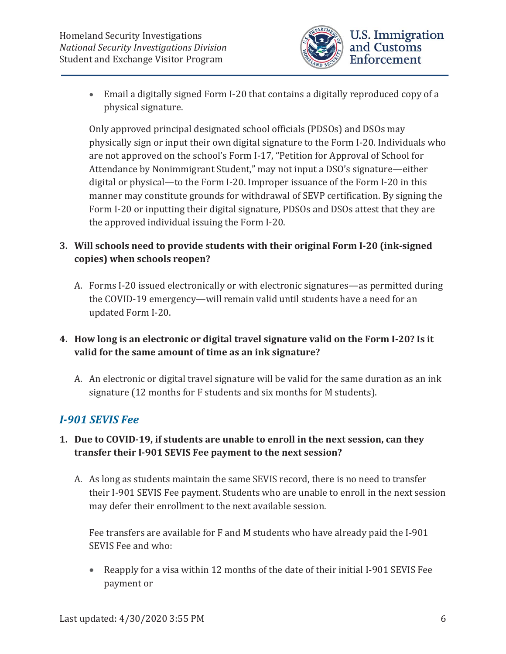

Only approved principal designated school officials (PDSOs) and DSOs may physically sign or input their own digital signature to the Form I-20. Individuals who are not approved on the school's Form I-17, "Petition for Approval of School for Attendance by Nonimmigrant Student," may not input a DSO's signature—either digital or physical—to the Form I-20. Improper issuance of the Form I-20 in this manner may constitute grounds for withdrawal of SEVP certification. By signing the Form I-20 or inputting their digital signature, PDSOs and DSOs attest that they are the approved individual issuing the Form I-20.

### **3. Will schools need to provide students with their original Form I-20 (ink-signed copies) when schools reopen?**

A. Forms I-20 issued electronically or with electronic signatures—as permitted during the COVID-19 emergency—will remain valid until students have a need for an updated Form I-20.

### **4. How long is an electronic or digital travel signature valid on the Form I-20? Is it valid for the same amount of time as an ink signature?**

A. An electronic or digital travel signature will be valid for the same duration as an ink signature (12 months for F students and six months for M students).

# *I-901 SEVIS Fee*

### **1. Due to COVID-19, if students are unable to enroll in the next session, can they transfer their I-901 SEVIS Fee payment to the next session?**

A. As long as students maintain the same SEVIS record, there is no need to transfer their I-901 SEVIS Fee payment. Students who are unable to enroll in the next session may defer their enrollment to the next available session.

Fee transfers are available for F and M students who have already paid the I-901 SEVIS Fee and who:

• Reapply for a visa within 12 months of the date of their initial I-901 SEVIS Fee payment or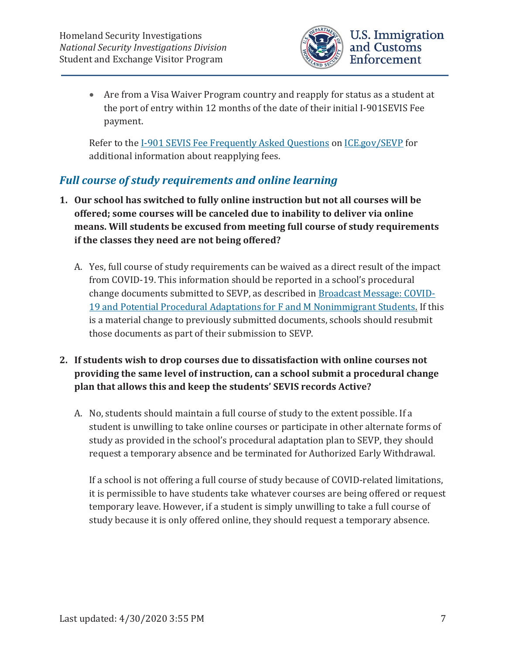

• Are from a Visa Waiver Program country and reapply for status as a student at the port of entry within 12 months of the date of their initial I-901SEVIS Fee payment.

Refer to the I-901 SEVIS Fee Frequently Asked Questions on ICE.gov/SEVP for additional information about reapplying fees.

## *Full course of study requirements and online learning*

- **1. Our school has switched to fully online instruction but not all courses will be offered; some courses will be canceled due to inability to deliver via online means. Will students be excused from meeting full course of study requirements if the classes they need are not being offered?** 
	- A. Yes, full course of study requirements can be waived as a direct result of the impact from COVID-19. This information should be reported in a school's procedural change documents submitted to SEVP, as described in Broadcast Message: COVID-19 and Potential Procedural Adaptations for F and M Nonimmigrant Students. If this is a material change to previously submitted documents, schools should resubmit those documents as part of their submission to SEVP.
- **2. If students wish to drop courses due to dissatisfaction with online courses not providing the same level of instruction, can a school submit a procedural change plan that allows this and keep the students' SEVIS records Active?** 
	- A. No, students should maintain a full course of study to the extent possible. If a student is unwilling to take online courses or participate in other alternate forms of study as provided in the school's procedural adaptation plan to SEVP, they should request a temporary absence and be terminated for Authorized Early Withdrawal.

If a school is not offering a full course of study because of COVID-related limitations, it is permissible to have students take whatever courses are being offered or request temporary leave. However, if a student is simply unwilling to take a full course of study because it is only offered online, they should request a temporary absence.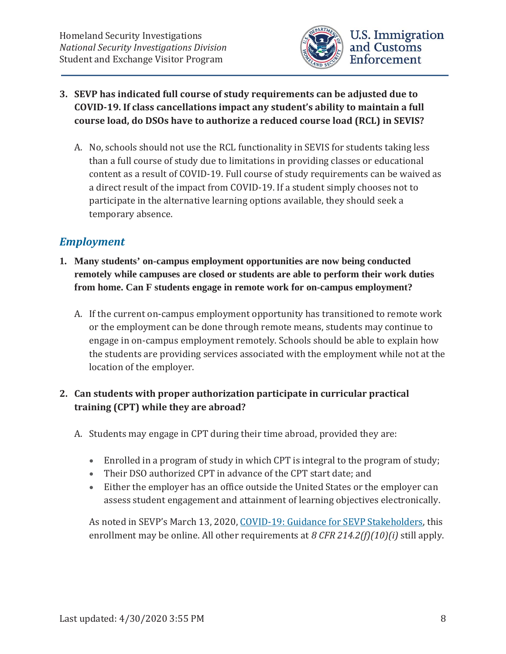

### **3. SEVP has indicated full course of study requirements can be adjusted due to COVID-19. If class cancellations impact any student's ability to maintain a full course load, do DSOs have to authorize a reduced course load (RCL) in SEVIS?**

A. No, schools should not use the RCL functionality in SEVIS for students taking less than a full course of study due to limitations in providing classes or educational content as a result of COVID-19. Full course of study requirements can be waived as a direct result of the impact from COVID-19. If a student simply chooses not to participate in the alternative learning options available, they should seek a temporary absence.

### *Employment*

- **1. Many students' on-campus employment opportunities are now being conducted remotely while campuses are closed or students are able to perform their work duties from home. Can F students engage in remote work for on-campus employment?** 
	- A. If the current on-campus employment opportunity has transitioned to remote work or the employment can be done through remote means, students may continue to engage in on-campus employment remotely. Schools should be able to explain how the students are providing services associated with the employment while not at the location of the employer.

### **2. Can students with proper authorization participate in curricular practical training (CPT) while they are abroad?**

- A. Students may engage in CPT during their time abroad, provided they are:
	- Enrolled in a program of study in which CPT is integral to the program of study;
	- Their DSO authorized CPT in advance of the CPT start date: and
	- Either the employer has an office outside the United States or the employer can assess student engagement and attainment of learning objectives electronically.

As noted in SEVP's March 13, 2020, COVID-19: Guidance for SEVP Stakeholders, this enrollment may be online. All other requirements at *8 CFR 214.2(f)(10)(i)* still apply.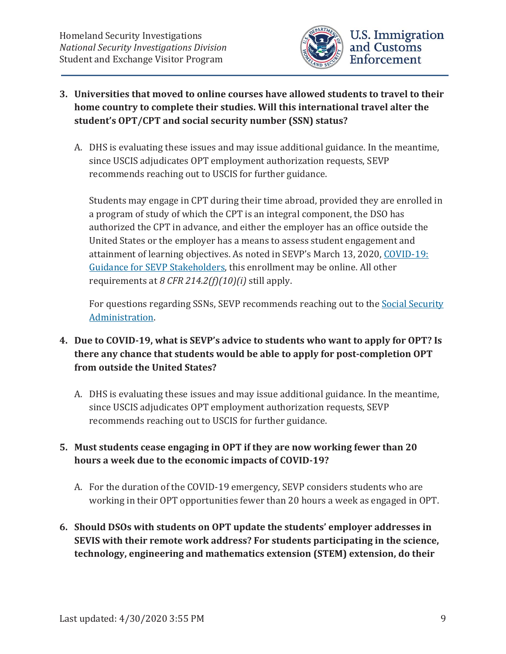

- **3. Universities that moved to online courses have allowed students to travel to their home country to complete their studies. Will this international travel alter the student's OPT/CPT and social security number (SSN) status?** 
	- A. DHS is evaluating these issues and may issue additional guidance. In the meantime, since USCIS adjudicates OPT employment authorization requests, SEVP recommends reaching out to USCIS for further guidance.

Students may engage in CPT during their time abroad, provided they are enrolled in a program of study of which the CPT is an integral component, the DSO has authorized the CPT in advance, and either the employer has an office outside the United States or the employer has a means to assess student engagement and attainment of learning objectives. As noted in SEVP's March 13, 2020, COVID-19: Guidance for SEVP Stakeholders, this enrollment may be online. All other requirements at *8 CFR 214.2(f)(10)(i)* still apply.

For questions regarding SSNs, SEVP recommends reaching out to the Social Security Administration.

### **4. Due to COVID-19, what is SEVP's advice to students who want to apply for OPT? Is there any chance that students would be able to apply for post-completion OPT from outside the United States?**

- A. DHS is evaluating these issues and may issue additional guidance. In the meantime, since USCIS adjudicates OPT employment authorization requests, SEVP recommends reaching out to USCIS for further guidance.
- **5. Must students cease engaging in OPT if they are now working fewer than 20 hours a week due to the economic impacts of COVID-19?** 
	- A. For the duration of the COVID-19 emergency, SEVP considers students who are working in their OPT opportunities fewer than 20 hours a week as engaged in OPT.
- **6. Should DSOs with students on OPT update the students' employer addresses in SEVIS with their remote work address? For students participating in the science, technology, engineering and mathematics extension (STEM) extension, do their**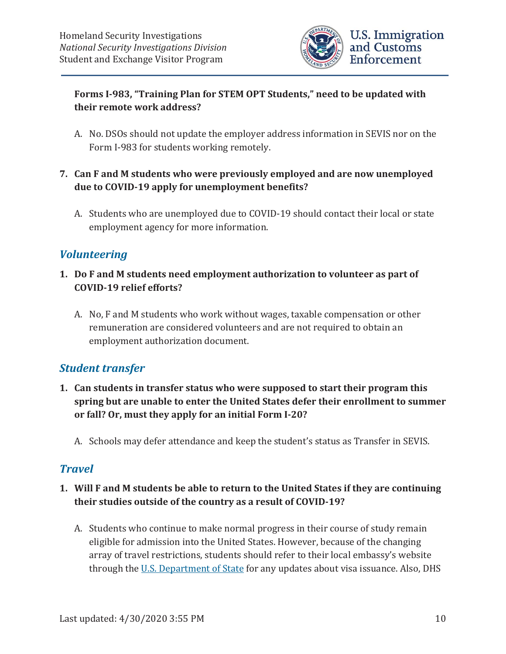

### **Forms I-983, "Training Plan for STEM OPT Students," need to be updated with their remote work address?**

- A. No. DSOs should not update the employer address information in SEVIS nor on the Form I-983 for students working remotely.
- **7. Can F and M students who were previously employed and are now unemployed due to COVID-19 apply for unemployment benefits?** 
	- A. Students who are unemployed due to COVID-19 should contact their local or state employment agency for more information.

### *Volunteering*

- **1. Do F and M students need employment authorization to volunteer as part of COVID-19 relief efforts?** 
	- A. No, F and M students who work without wages, taxable compensation or other remuneration are considered volunteers and are not required to obtain an employment authorization document.

### *Student transfer*

- **1. Can students in transfer status who were supposed to start their program this spring but are unable to enter the United States defer their enrollment to summer or fall? Or, must they apply for an initial Form I-20?** 
	- A. Schools may defer attendance and keep the student's status as Transfer in SEVIS.

### *Travel*

- **1. Will F and M students be able to return to the United States if they are continuing their studies outside of the country as a result of COVID-19?** 
	- A. Students who continue to make normal progress in their course of study remain eligible for admission into the United States. However, because of the changing array of travel restrictions, students should refer to their local embassy's website through the U.S. Department of State for any updates about visa issuance. Also, DHS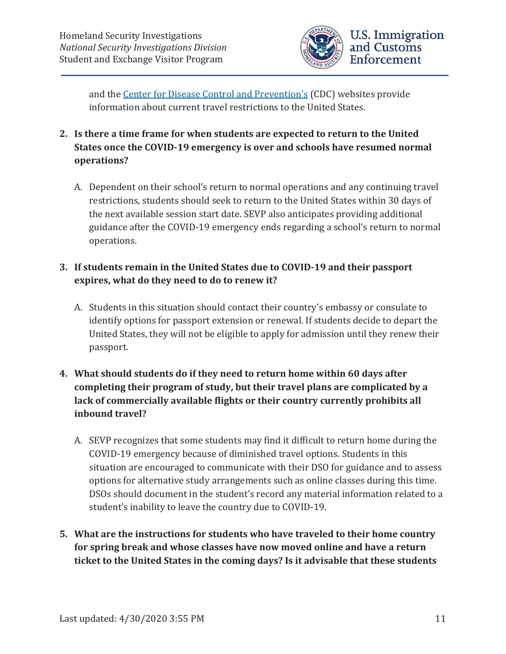

and the Center for Disease Control and Prevention's (CDC) websites provide information about current travel restrictions to the United States.

- **2. Is there a time frame for when students are expected to return to the United States once the COVID-19 emergency is over and schools have resumed normal operations?** 
	- A. Dependent on their school's return to normal operations and any continuing travel restrictions, students should seek to return to the United States within 30 days of the next available session start date. SEVP also anticipates providing additional guidance after the COVID-19 emergency ends regarding a school's return to normal operations.

#### **3. If students remain in the United States due to COVID-19 and their passport expires, what do they need to do to renew it?**

- A. Students in this situation should contact their country's embassy or consulate to identify options for passport extension or renewal. If students decide to depart the United States, they will not be eligible to apply for admission until they renew their passport.
- **4. What should students do if they need to return home within 60 days after completing their program of study, but their travel plans are complicated by a lack of commercially available flights or their country currently prohibits all inbound travel?** 
	- A. SEVP recognizes that some students may find it difficult to return home during the COVID-19 emergency because of diminished travel options. Students in this situation are encouraged to communicate with their DSO for guidance and to assess options for alternative study arrangements such as online classes during this time. DSOs should document in the student's record any material information related to a student's inability to leave the country due to COVID-19.
- **5. What are the instructions for students who have traveled to their home country for spring break and whose classes have now moved online and have a return ticket to the United States in the coming days? Is it advisable that these students**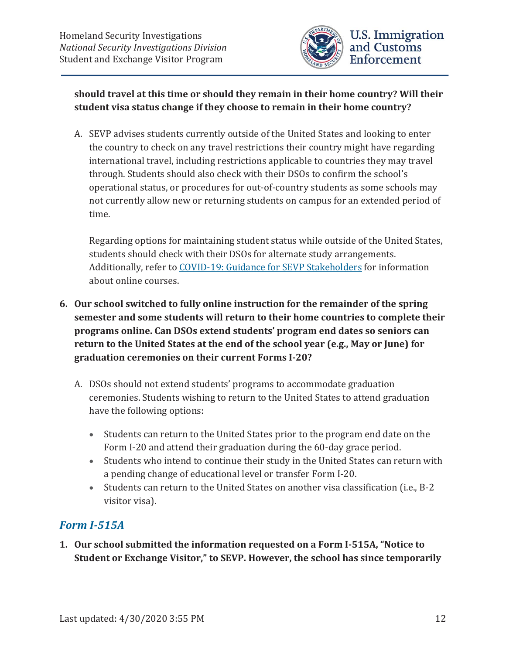

### **should travel at this time or should they remain in their home country? Will their student visa status change if they choose to remain in their home country?**

A. SEVP advises students currently outside of the United States and looking to enter the country to check on any travel restrictions their country might have regarding international travel, including restrictions applicable to countries they may travel through. Students should also check with their DSOs to confirm the school's operational status, or procedures for out-of-country students as some schools may not currently allow new or returning students on campus for an extended period of time.

Regarding options for maintaining student status while outside of the United States, students should check with their DSOs for alternate study arrangements. Additionally, refer to COVID-19: Guidance for SEVP Stakeholders for information about online courses.

- **6. Our school switched to fully online instruction for the remainder of the spring semester and some students will return to their home countries to complete their programs online. Can DSOs extend students' program end dates so seniors can return to the United States at the end of the school year (e.g., May or June) for graduation ceremonies on their current Forms I-20?** 
	- A. DSOs should not extend students' programs to accommodate graduation ceremonies. Students wishing to return to the United States to attend graduation have the following options:
		- Students can return to the United States prior to the program end date on the Form I-20 and attend their graduation during the 60-day grace period.
		- Students who intend to continue their study in the United States can return with a pending change of educational level or transfer Form I-20.
		- Students can return to the United States on another visa classification (i.e., B-2 visitor visa).

# *Form I-515A*

**1. Our school submitted the information requested on a Form I-515A, "Notice to Student or Exchange Visitor," to SEVP. However, the school has since temporarily**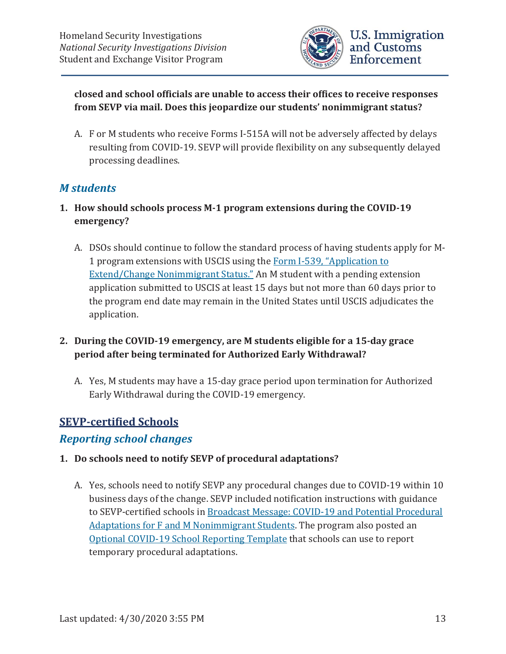

**closed and school officials are unable to access their offices to receive responses from SEVP via mail. Does this jeopardize our students' nonimmigrant status?** 

A. F or M students who receive Forms I-515A will not be adversely affected by delays resulting from COVID-19. SEVP will provide flexibility on any subsequently delayed processing deadlines.

### *M students*

- **1. How should schools process M-1 program extensions during the COVID-19 emergency?** 
	- A. DSOs should continue to follow the standard process of having students apply for M-1 program extensions with USCIS using the Form I-539, "Application to Extend/Change Nonimmigrant Status." An M student with a pending extension application submitted to USCIS at least 15 days but not more than 60 days prior to the program end date may remain in the United States until USCIS adjudicates the application.
- **2. During the COVID-19 emergency, are M students eligible for a 15-day grace period after being terminated for Authorized Early Withdrawal?** 
	- A. Yes, M students may have a 15-day grace period upon termination for Authorized Early Withdrawal during the COVID-19 emergency.

### **SEVP-certified Schools**

### *Reporting school changes*

#### **1. Do schools need to notify SEVP of procedural adaptations?**

A. Yes, schools need to notify SEVP any procedural changes due to COVID-19 within 10 business days of the change. SEVP included notification instructions with guidance to SEVP-certified schools in Broadcast Message: COVID-19 and Potential Procedural Adaptations for F and M Nonimmigrant Students. The program also posted an Optional COVID-19 School Reporting Template that schools can use to report temporary procedural adaptations.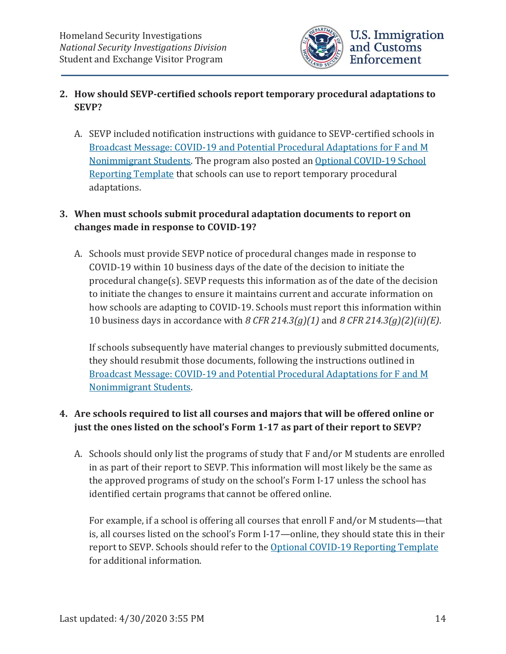

#### **2. How should SEVP-certified schools report temporary procedural adaptations to SEVP?**

A. SEVP included notification instructions with guidance to SEVP-certified schools in Broadcast Message: COVID-19 and Potential Procedural Adaptations for F and M Nonimmigrant Students. The program also posted an Optional COVID-19 School Reporting Template that schools can use to report temporary procedural adaptations.

#### **3. When must schools submit procedural adaptation documents to report on changes made in response to COVID-19?**

A. Schools must provide SEVP notice of procedural changes made in response to COVID-19 within 10 business days of the date of the decision to initiate the procedural change(s). SEVP requests this information as of the date of the decision to initiate the changes to ensure it maintains current and accurate information on how schools are adapting to COVID-19. Schools must report this information within 10 business days in accordance with *8 CFR 214.3(g)(1)* and *8 CFR 214.3(g)(2)(ii)(E)*.

If schools subsequently have material changes to previously submitted documents, they should resubmit those documents, following the instructions outlined in Broadcast Message: COVID-19 and Potential Procedural Adaptations for F and M Nonimmigrant Students.

### **4. Are schools required to list all courses and majors that will be offered online or just the ones listed on the school's Form 1-17 as part of their report to SEVP?**

A. Schools should only list the programs of study that F and/or M students are enrolled in as part of their report to SEVP. This information will most likely be the same as the approved programs of study on the school's Form I-17 unless the school has identified certain programs that cannot be offered online.

For example, if a school is offering all courses that enroll F and/or M students—that is, all courses listed on the school's Form I-17—online, they should state this in their report to SEVP. Schools should refer to the Optional COVID-19 Reporting Template for additional information.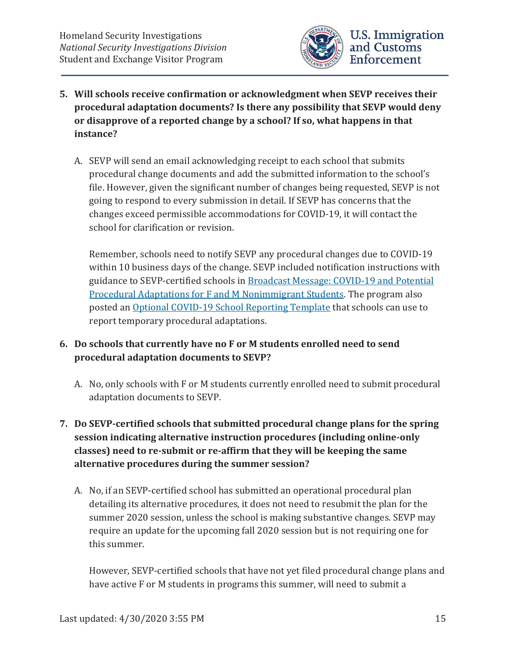

- **5. Will schools receive confirmation or acknowledgment when SEVP receives their procedural adaptation documents? Is there any possibility that SEVP would deny or disapprove of a reported change by a school? If so, what happens in that instance?** 
	- A. SEVP will send an email acknowledging receipt to each school that submits procedural change documents and add the submitted information to the school's file. However, given the significant number of changes being requested, SEVP is not going to respond to every submission in detail. If SEVP has concerns that the changes exceed permissible accommodations for COVID-19, it will contact the school for clarification or revision.

Remember, schools need to notify SEVP any procedural changes due to COVID-19 within 10 business days of the change. SEVP included notification instructions with guidance to SEVP-certified schools in Broadcast Message: COVID-19 and Potential Procedural Adaptations for F and M Nonimmigrant Students. The program also posted an Optional COVID-19 School Reporting Template that schools can use to report temporary procedural adaptations.

#### **6. Do schools that currently have no F or M students enrolled need to send procedural adaptation documents to SEVP?**

- A. No, only schools with F or M students currently enrolled need to submit procedural adaptation documents to SEVP.
- **7. Do SEVP-certified schools that submitted procedural change plans for the spring session indicating alternative instruction procedures (including online-only classes) need to re-submit or re-affirm that they will be keeping the same alternative procedures during the summer session?** 
	- A. No, if an SEVP-certified school has submitted an operational procedural plan detailing its alternative procedures, it does not need to resubmit the plan for the summer 2020 session, unless the school is making substantive changes. SEVP may require an update for the upcoming fall 2020 session but is not requiring one for this summer.

However, SEVP-certified schools that have not yet filed procedural change plans and have active F or M students in programs this summer, will need to submit a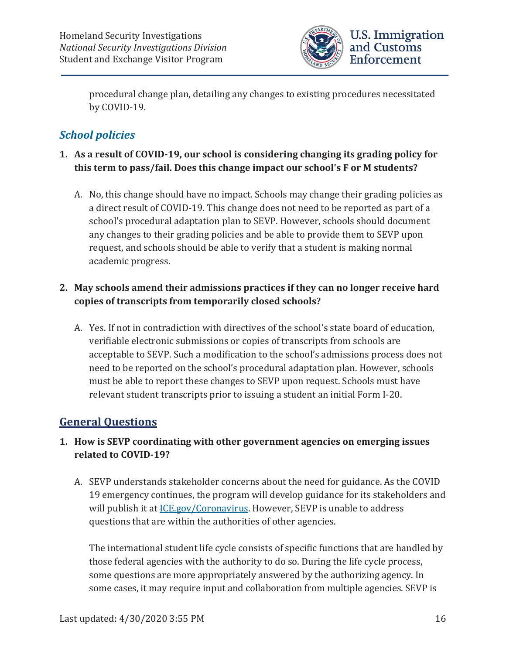

procedural change plan, detailing any changes to existing procedures necessitated by COVID-19.

# *School policies*

### **1. As a result of COVID-19, our school is considering changing its grading policy for this term to pass/fail. Does this change impact our school's F or M students?**

A. No, this change should have no impact. Schools may change their grading policies as a direct result of COVID-19. This change does not need to be reported as part of a school's procedural adaptation plan to SEVP. However, schools should document any changes to their grading policies and be able to provide them to SEVP upon request, and schools should be able to verify that a student is making normal academic progress.

### **2. May schools amend their admissions practices if they can no longer receive hard copies of transcripts from temporarily closed schools?**

A. Yes. If not in contradiction with directives of the school's state board of education, verifiable electronic submissions or copies of transcripts from schools are acceptable to SEVP. Such a modification to the school's admissions process does not need to be reported on the school's procedural adaptation plan. However, schools must be able to report these changes to SEVP upon request. Schools must have relevant student transcripts prior to issuing a student an initial Form I-20.

# **General Questions**

### **1. How is SEVP coordinating with other government agencies on emerging issues related to COVID-19?**

A. SEVP understands stakeholder concerns about the need for guidance. As the COVID 19 emergency continues, the program will develop guidance for its stakeholders and will publish it at ICE.gov/Coronavirus. However, SEVP is unable to address questions that are within the authorities of other agencies.

The international student life cycle consists of specific functions that are handled by those federal agencies with the authority to do so. During the life cycle process, some questions are more appropriately answered by the authorizing agency. In some cases, it may require input and collaboration from multiple agencies. SEVP is